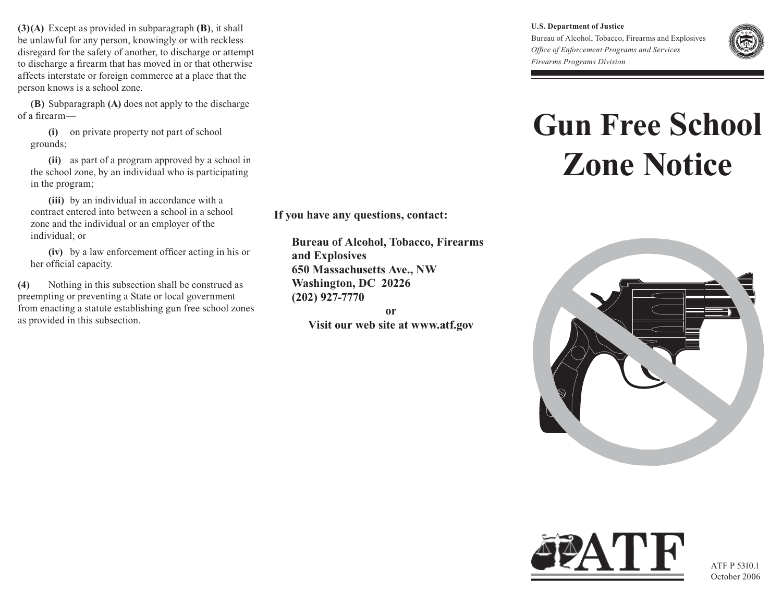**(3)(A)** Except as provided in subparagraph **(B)**, it shall be unlawful for any person, knowingly or with reckless disregard for the safety of another, to discharge or attempt to discharge a firearm that has moved in or that otherwise affects interstate or foreign commerce at a place that the person knows is a school zone.

**(B)** Subparagraph **(A)** does not apply to the discharge of a firearm—

 **(i)** on private property not part of school grounds;

 **(ii)** as part of a program approved by a school in the school zone, by an individual who is participating in the program;

 **(iii)** by an individual in accordance with a contract entered into between a school in a school zone and the individual or an employer of the individual; or

 **(iv)** by a law enforcement officer acting in his or her official capacity.

**(4)** Nothing in this subsection shall be construed as preempting or preventing a State or local government from enacting a statute establishing gun free school zones as provided in this subsection.

**If you have any questions, contact:**

**Bureau of Alcohol, Tobacco, Firearms and Explosives 650 Massachusetts Ave., NW Washington, DC 20226 (202) 927-7770**

**or Visit our web site at www.atf.gov** **U.S. Department of Justice** Bureau of Alcohol, Tobacco, Firearms and Explosives *Office of Enforcement Programs and Services Firearms Programs Division*



## **Gun Free School Zone Notice**





ATF P 5310.1 October 2006